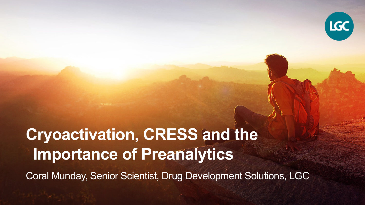

# **Cryoactivation, CRESS and the Importance of Preanalytics**

Coral Munday, Senior Scientist, Drug Development Solutions, LGC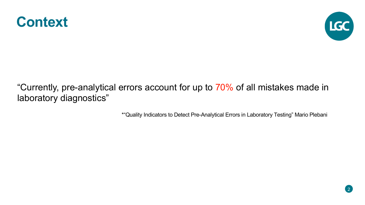



"Currently, pre-analytical errors account for up to 70% of all mistakes made in laboratory diagnostics"

\*"Quality Indicators to Detect Pre-Analytical Errors in Laboratory Testing" Mario Plebani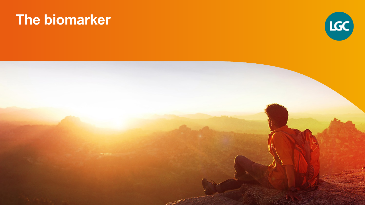#### **The biomarker**



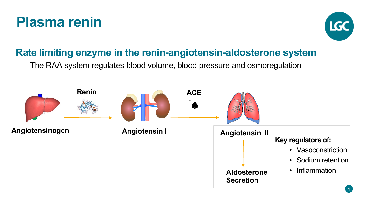#### **Plasma renin**



#### **Rate limiting enzyme in the renin-angiotensin-aldosterone system**

- The RAA system regulates blood volume, blood pressure and osmoregulation

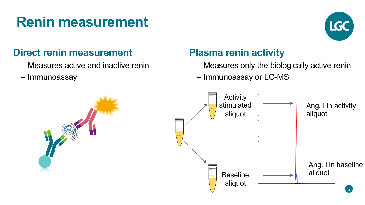# **Renin measurement**



#### **Direct renin measurement**

- Measures active and inactive renin
- Immunoassay

#### **Plasma renin activity**

- Measures only the biologically active renin
- Immunoassay or LC-MS

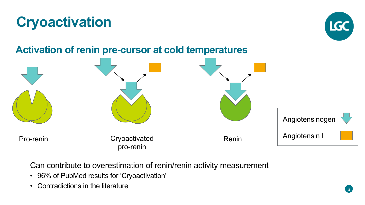#### **Activation of renin pre-cursor at cold temperatures**

- Can contribute to overestimation of renin/renin activity measurement

• 96% of PubMed results for 'Cryoactivation'

• Contradictions in the literature

Pro-renin Cryoactivated Renin pro-renin Angiotensinogen Angiotensin I

![](_page_5_Picture_4.jpeg)

![](_page_5_Picture_5.jpeg)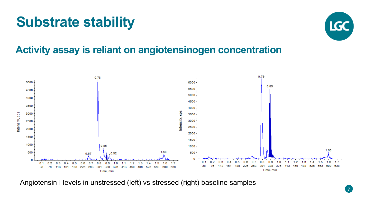# **Substrate stability**

![](_page_6_Picture_1.jpeg)

#### **Activity assay is reliant on angiotensinogen concentration**

![](_page_6_Figure_3.jpeg)

Angiotensin I levels in unstressed (left) vs stressed (right) baseline samples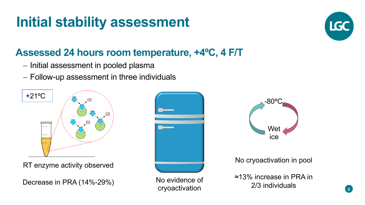# **Initial stability assessment**

#### **Assessed 24 hours room temperature, +4ºC, 4 F/T**

- Initial assessment in pooled plasma
- Follow-up assessment in three individuals

![](_page_7_Figure_4.jpeg)

RT enzyme activity observed

Decrease in PRA (14%-29%)

![](_page_7_Picture_7.jpeg)

No evidence of cryoactivation

![](_page_7_Picture_9.jpeg)

No cryoactivation in pool

≈13% increase in PRA in 2/3 individuals

![](_page_7_Picture_12.jpeg)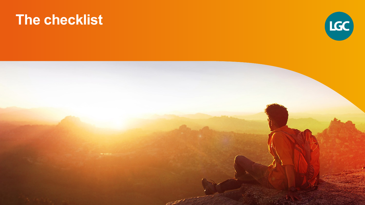#### **The checklist**

![](_page_8_Picture_1.jpeg)

![](_page_8_Picture_2.jpeg)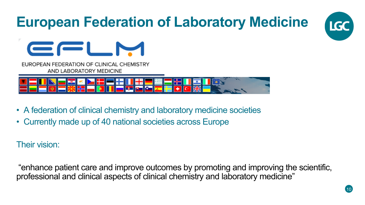# **European Federation of Laboratory Medicine**

![](_page_9_Picture_1.jpeg)

![](_page_9_Picture_2.jpeg)

EUROPEAN FEDERATION OF CLINICAL CHEMISTRY AND LABORATORY MEDICINE

- A federation of clinical chemistry and laboratory medicine societies
- Currently made up of 40 national societies across Europe

Their vision:

"enhance patient care and improve outcomes by promoting and improving the scientific, professional and clinical aspects of clinical chemistry and laboratory medicine"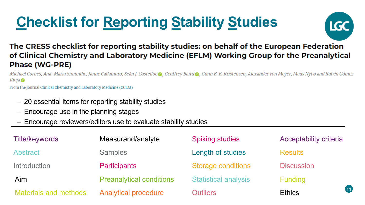# **Checklist for Reporting Stability Studies**

![](_page_10_Picture_1.jpeg)

#### The CRESS checklist for reporting stability studies: on behalf of the European Federation of Clinical Chemistry and Laboratory Medicine (EFLM) Working Group for the Preanalytical **Phase (WG-PRE)**

Michael Cornes, Ana-Maria Simundic, Janne Cadamuro, Seán J. Costelloe @, Geoffrey Baird @, Gunn B. B. Kristensen, Alexander von Meyer, Mads Nybo and Rubén Gómez Rioja ®

From the journal Clinical Chemistry and Laboratory Medicine (CCLM)

- 20 essential items for reporting stability studies
- Encourage use in the planning stages
- Encourage reviewers/editors use to evaluate stability studies

| <b>Title/keywords</b>        | Measurand/analyte               | <b>Spiking studies</b>      | Acceptability criteria |      |
|------------------------------|---------------------------------|-----------------------------|------------------------|------|
| Abstract                     | <b>Samples</b>                  | Length of studies           | <b>Results</b>         |      |
| Introduction                 | <b>Participants</b>             | <b>Storage conditions</b>   | <b>Discussion</b>      |      |
| Aim                          | <b>Preanalytical conditions</b> | <b>Statistical analysis</b> | <b>Funding</b>         |      |
| <b>Materials and methods</b> | <b>Analytical procedure</b>     | <b>Outliers</b>             | <b>Ethics</b>          | (11) |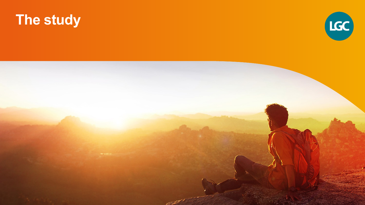# **The study**

![](_page_11_Picture_1.jpeg)

![](_page_11_Picture_2.jpeg)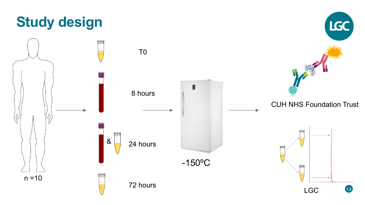![](_page_12_Figure_0.jpeg)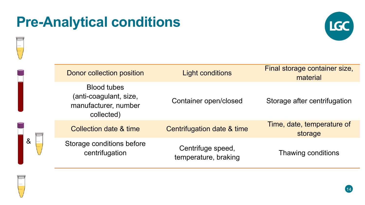#### **Pre-Analytical conditions**

![](_page_13_Picture_1.jpeg)

|   | Donor collection position                                                          | <b>Light conditions</b>                   | Final storage container size,<br>material |
|---|------------------------------------------------------------------------------------|-------------------------------------------|-------------------------------------------|
| & | <b>Blood tubes</b><br>(anti-coagulant, size,<br>manufacturer, number<br>collected) | Container open/closed                     | Storage after centrifugation              |
|   | <b>Collection date &amp; time</b>                                                  | Centrifugation date & time                | Time, date, temperature of<br>storage     |
|   | Storage conditions before<br>centrifugation                                        | Centrifuge speed,<br>temperature, braking | Thawing conditions                        |

![](_page_13_Picture_3.jpeg)

![](_page_13_Picture_4.jpeg)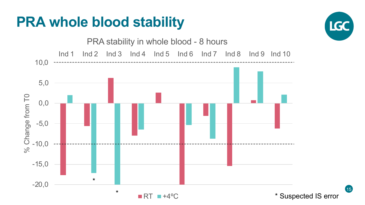# **PRA whole blood stability**

![](_page_14_Figure_1.jpeg)

![](_page_14_Picture_2.jpeg)

15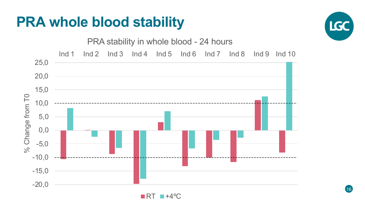# **PRA whole blood stability**

![](_page_15_Figure_1.jpeg)

![](_page_15_Picture_2.jpeg)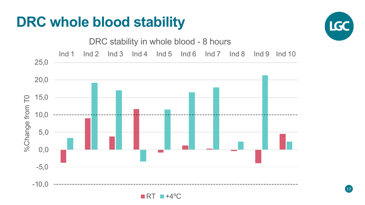#### **DRC whole blood stability**

![](_page_16_Figure_1.jpeg)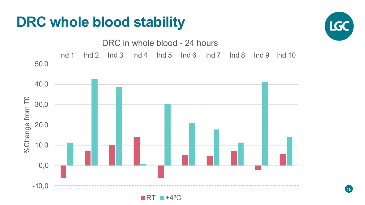#### **DRC whole blood stability**

![](_page_17_Figure_1.jpeg)

![](_page_17_Figure_2.jpeg)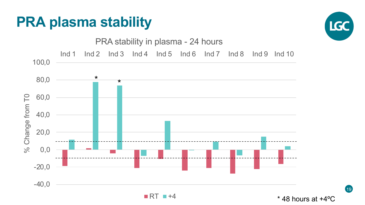# **PRA plasma stability**

![](_page_18_Figure_1.jpeg)

19

![](_page_18_Figure_2.jpeg)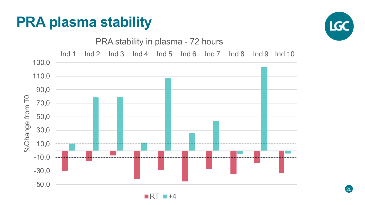# **PRA plasma stability**

![](_page_19_Picture_1.jpeg)

![](_page_19_Figure_2.jpeg)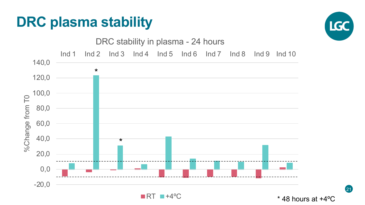## **DRC plasma stability**

![](_page_20_Figure_1.jpeg)

21

![](_page_20_Figure_2.jpeg)

 $RT = +4°C$ 

\* 48 hours at +4ºC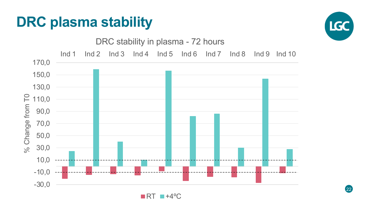# **DRC plasma stability**

![](_page_21_Figure_1.jpeg)

![](_page_21_Figure_2.jpeg)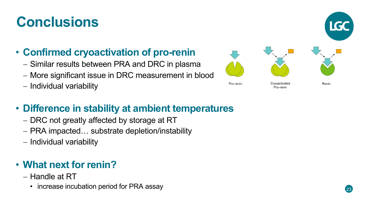# **Conclusions**

#### • **Confirmed cryoactivation of pro-renin**

- Similar results between PRA and DRC in plasma
- More significant issue in DRC measurement in blood
- Individual variability

![](_page_22_Picture_5.jpeg)

#### • **Difference in stability at ambient temperatures**

- DRC not greatly affected by storage at RT
- PRA impacted… substrate depletion/instability
- Individual variability

#### • **What next for renin?**

- Handle at RT
	- increase incubation period for PRA assay